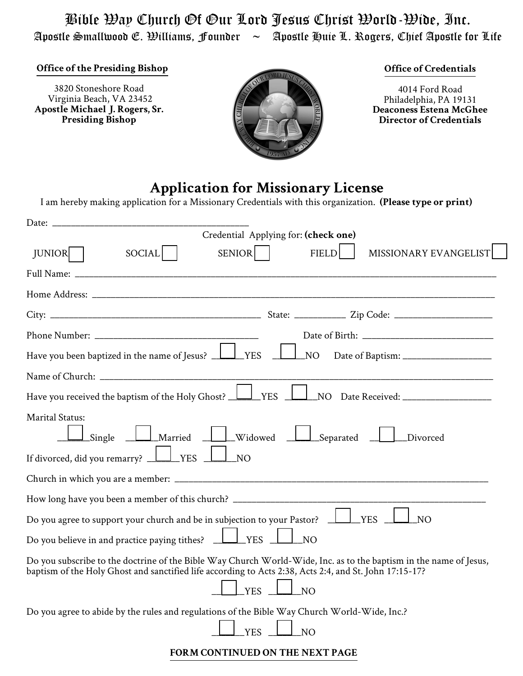Bible Way Church Of Our Lord Jesus Christ World-Wide, Inc. Apostle Smallwood E. Williams, Founder  $\sim$  Apostle Huie L. Rogers, Chief Apostle for Life

**Office of the Presiding Bishop**

3820 Stoneshore Road Virginia Beach, VA 23452 **Apostle Michael J. Rogers, Sr. Presiding Bishop**



## **Office of Credentials**

4014 Ford Road Philadelphia, PA 19131 **Deaconess Estena McGhee Director of Credentials**

## **Application for Missionary License**

I am hereby making application for a Missionary Credentials with this organization. **(Please type or print)**

| Credential Applying for: (check one)                                                                                                                                                                                                                 |
|------------------------------------------------------------------------------------------------------------------------------------------------------------------------------------------------------------------------------------------------------|
| <b>FIELD</b><br>MISSIONARY EVANGELIST<br>SOCIAL<br><b>SENIOR</b><br><b>JUNIOR</b>                                                                                                                                                                    |
| Full Name: _                                                                                                                                                                                                                                         |
|                                                                                                                                                                                                                                                      |
|                                                                                                                                                                                                                                                      |
|                                                                                                                                                                                                                                                      |
| Have you been baptized in the name of Jesus? <u>LAVES</u><br>NO                                                                                                                                                                                      |
|                                                                                                                                                                                                                                                      |
| $\perp$ YES<br>Have you received the baptism of the Holy Ghost? $\perp$<br>NO Date Received: ___________________                                                                                                                                     |
| <b>Marital Status:</b><br><u>__</u> ________Married<br><u>Land Widowed</u><br>_Separated _<br>Single<br><b>Divorced</b><br>If divorced, did you remarry? $\Box$ YES $\Box$<br>$\overline{N}$                                                         |
|                                                                                                                                                                                                                                                      |
|                                                                                                                                                                                                                                                      |
| Do you agree to support your church and be in subjection to your Pastor?<br>YES<br>NO <sub>1</sub>                                                                                                                                                   |
| Do you believe in and practice paying tithes? $\Box$<br>YES<br>NO                                                                                                                                                                                    |
| Do you subscribe to the doctrine of the Bible Way Church World-Wide, Inc. as to the baptism in the name of Jesus,<br>baptism of the Holy Ghost and sanctified life according to Acts 2:38, Acts 2:4, and St. John 17:15-17?<br>YES<br>N <sub>O</sub> |
| Do you agree to abide by the rules and regulations of the Bible Way Church World-Wide, Inc.?<br><b>YES</b><br>NO                                                                                                                                     |
| <b>FORM CONTINUED ON THE NEXT PAGE</b>                                                                                                                                                                                                               |